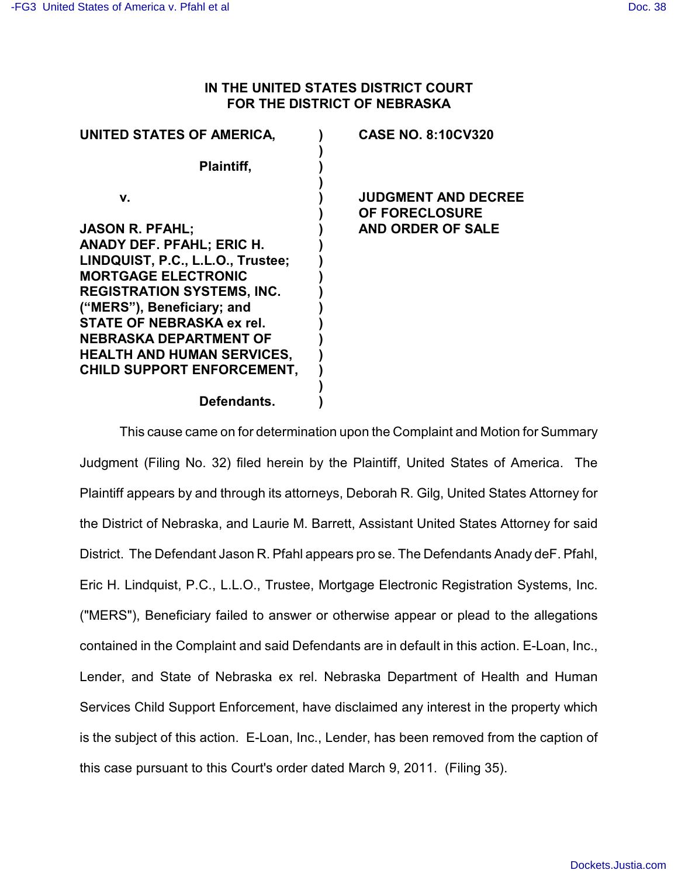## **IN THE UNITED STATES DISTRICT COURT FOR THE DISTRICT OF NEBRASKA**

| UNITED STATES OF AMERICA,         | <b>CASE NO. 8:10CV320</b>                           |
|-----------------------------------|-----------------------------------------------------|
| Plaintiff,                        |                                                     |
| v.                                | <b>JUDGMENT AND DECREE</b><br><b>OF FORECLOSURE</b> |
| <b>JASON R. PFAHL;</b>            | AND ORDER OF SALE                                   |
| ANADY DEF. PFAHL; ERIC H.         |                                                     |
| LINDQUIST, P.C., L.L.O., Trustee; |                                                     |
| <b>MORTGAGE ELECTRONIC</b>        |                                                     |
| <b>REGISTRATION SYSTEMS, INC.</b> |                                                     |
| ("MERS"), Beneficiary; and        |                                                     |
| STATE OF NEBRASKA ex rel.         |                                                     |
| NEBRASKA DEPARTMENT OF            |                                                     |
| <b>HEALTH AND HUMAN SERVICES,</b> |                                                     |
| <b>CHILD SUPPORT ENFORCEMENT,</b> |                                                     |
| Defendants.                       |                                                     |
|                                   |                                                     |

This cause came on for determination upon the Complaint and Motion for Summary Judgment (Filing No. 32) filed herein by the Plaintiff, United States of America. The Plaintiff appears by and through its attorneys, Deborah R. Gilg, United States Attorney for the District of Nebraska, and Laurie M. Barrett, Assistant United States Attorney for said District. The Defendant Jason R. Pfahl appears pro se. The Defendants Anady deF. Pfahl, Eric H. Lindquist, P.C., L.L.O., Trustee, Mortgage Electronic Registration Systems, Inc. ("MERS"), Beneficiary failed to answer or otherwise appear or plead to the allegations contained in the Complaint and said Defendants are in default in this action. E-Loan, Inc., Lender, and State of Nebraska ex rel. Nebraska Department of Health and Human Services Child Support Enforcement, have disclaimed any interest in the property which is the subject of this action. E-Loan, Inc., Lender, has been removed from the caption of this case pursuant to this Court's order dated March 9, 2011. (Filing 35).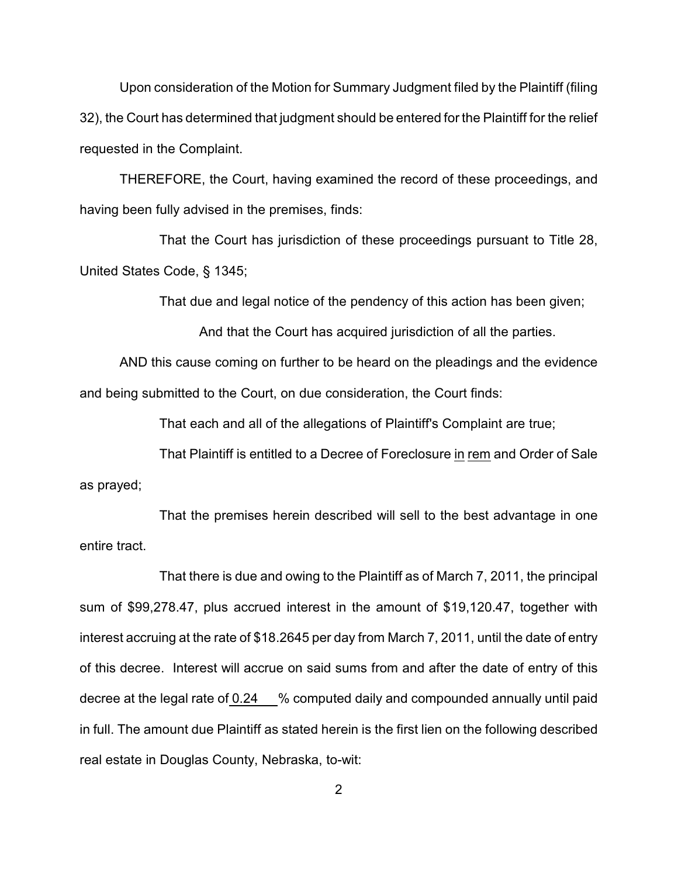Upon consideration of the Motion for Summary Judgment filed by the Plaintiff (filing 32), the Court has determined that judgment should be entered for the Plaintiff for the relief requested in the Complaint.

THEREFORE, the Court, having examined the record of these proceedings, and having been fully advised in the premises, finds:

That the Court has jurisdiction of these proceedings pursuant to Title 28, United States Code, § 1345;

That due and legal notice of the pendency of this action has been given;

And that the Court has acquired jurisdiction of all the parties.

AND this cause coming on further to be heard on the pleadings and the evidence and being submitted to the Court, on due consideration, the Court finds:

That each and all of the allegations of Plaintiff's Complaint are true;

That Plaintiff is entitled to a Decree of Foreclosure in rem and Order of Sale as prayed;

That the premises herein described will sell to the best advantage in one entire tract.

That there is due and owing to the Plaintiff as of March 7, 2011, the principal sum of \$99,278.47, plus accrued interest in the amount of \$19,120.47, together with interest accruing at the rate of \$18.2645 per day from March 7, 2011, until the date of entry of this decree. Interest will accrue on said sums from and after the date of entry of this decree at the legal rate of 0.24 % computed daily and compounded annually until paid in full. The amount due Plaintiff as stated herein is the first lien on the following described real estate in Douglas County, Nebraska, to-wit: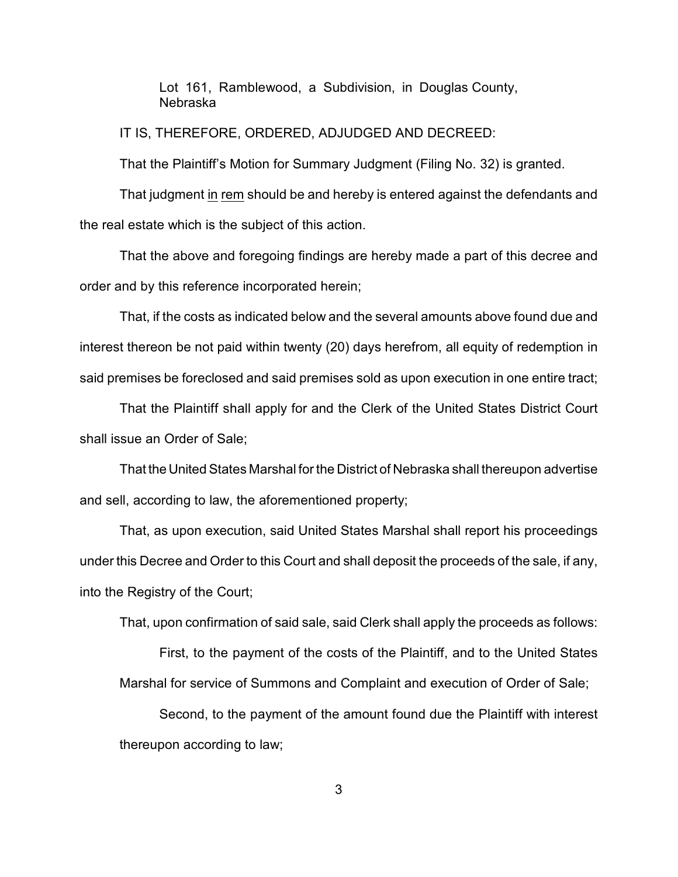Lot 161, Ramblewood, a Subdivision, in Douglas County, Nebraska

IT IS, THEREFORE, ORDERED, ADJUDGED AND DECREED:

That the Plaintiff's Motion for Summary Judgment (Filing No. 32) is granted.

That judgment in rem should be and hereby is entered against the defendants and the real estate which is the subject of this action.

That the above and foregoing findings are hereby made a part of this decree and order and by this reference incorporated herein;

That, if the costs as indicated below and the several amounts above found due and interest thereon be not paid within twenty (20) days herefrom, all equity of redemption in said premises be foreclosed and said premises sold as upon execution in one entire tract;

That the Plaintiff shall apply for and the Clerk of the United States District Court shall issue an Order of Sale;

That the United States Marshal for the District of Nebraska shall thereupon advertise and sell, according to law, the aforementioned property;

That, as upon execution, said United States Marshal shall report his proceedings under this Decree and Order to this Court and shall deposit the proceeds of the sale, if any, into the Registry of the Court;

That, upon confirmation of said sale, said Clerk shall apply the proceeds as follows:

First, to the payment of the costs of the Plaintiff, and to the United States Marshal for service of Summons and Complaint and execution of Order of Sale;

Second, to the payment of the amount found due the Plaintiff with interest thereupon according to law;

3